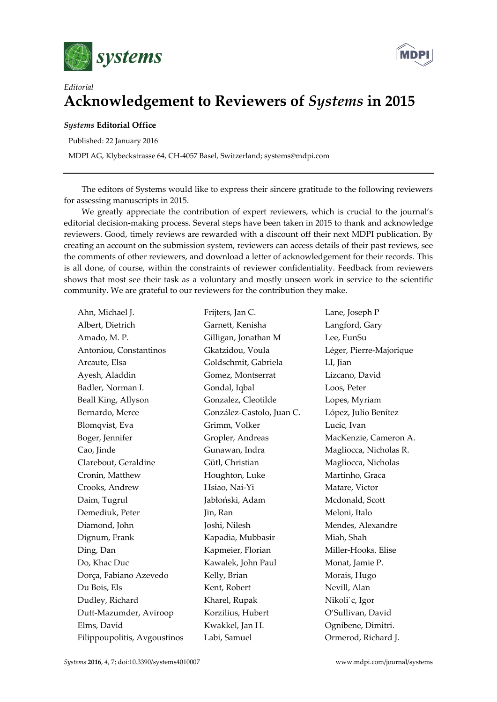



## *Editorial* **Acknowledgement to Reviewers of** *Systems* **in 2015**

## *Systems* **Editorial Office**

Published: 22 January 2016

MDPI AG, Klybeckstrasse 64, CH-4057 Basel, Switzerland; systems@mdpi.com

The editors of Systems would like to express their sincere gratitude to the following reviewers for assessing manuscripts in 2015.

We greatly appreciate the contribution of expert reviewers, which is crucial to the journal's editorial decision-making process. Several steps have been taken in 2015 to thank and acknowledge reviewers. Good, timely reviews are rewarded with a discount off their next MDPI publication. By creating an account on the submission system, reviewers can access details of their past reviews, see the comments of other reviewers, and download a letter of acknowledgement for their records. This is all done, of course, within the constraints of reviewer confidentiality. Feedback from reviewers shows that most see their task as a voluntary and mostly unseen work in service to the scientific community. We are grateful to our reviewers for the contribution they make.

| Ahn, Michael J.              | Frijters, Jan C.          |
|------------------------------|---------------------------|
| Albert, Dietrich             | Garnett, Kenisha          |
| Amado, M.P.                  | Gilligan, Jonathan M      |
| Antoniou, Constantinos       | Gkatzidou, Voula          |
| Arcaute, Elsa                | Goldschmit, Gabriela      |
| Ayesh, Aladdin               | Gomez, Montserrat         |
| Badler, Norman I.            | Gondal, Iqbal             |
| Beall King, Allyson          | Gonzalez, Cleotilde       |
| Bernardo, Merce              | González-Castolo, Juan C. |
| Blomqvist, Eva               | Grimm, Volker             |
| Boger, Jennifer              | Gropler, Andreas          |
| Cao, Jinde                   | Gunawan, Indra            |
| Clarebout, Geraldine         | Gütl, Christian           |
| Cronin, Matthew              | Houghton, Luke            |
| Crooks, Andrew               | Hsiao, Nai-Yi             |
| Daim, Tugrul                 | Jabłoński, Adam           |
| Demediuk, Peter              | Jin, Ran                  |
| Diamond, John                | Joshi, Nilesh             |
| Dignum, Frank                | Kapadia, Mubbasir         |
| Ding, Dan                    | Kapmeier, Florian         |
| Do, Khac Duc                 | Kawalek, John Paul        |
| Dorça, Fabiano Azevedo       | Kelly, Brian              |
| Du Bois, Els                 | Kent, Robert              |
| Dudley, Richard              | Kharel, Rupak             |
| Dutt-Mazumder, Aviroop       | Korzilius, Hubert         |
| Elms, David                  | Kwakkel, Jan H.           |
| Filippoupolitis, Avgoustinos | Labi, Samuel              |

Lane, Joseph P Langford, Gary Lee, EunSu Léger, Pierre-Majorique LI, Jian Lizcano, David Loos, Peter Lopes, Myriam López, Julio Benítez Lucic, Ivan MacKenzie, Cameron A. Magliocca, Nicholas R. Magliocca, Nicholas Martinho, Graca Matare, Victor Mcdonald, Scott Meloni, Italo Mendes, Alexandre Miah, Shah Miller-Hooks, Elise Monat, Jamie P. Morais, Hugo Nevill, Alan Nikoli´c, Igor O'Sullivan, David Ognibene, Dimitri. Ormerod, Richard J.